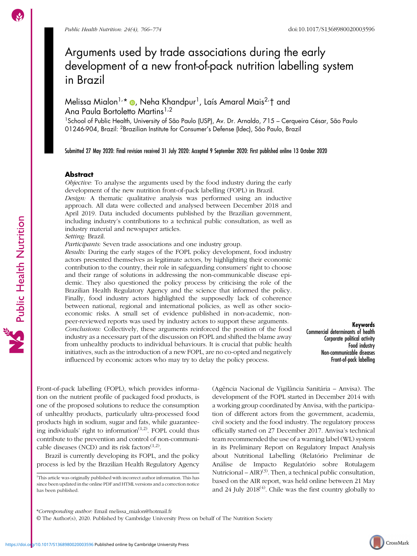Public Health Nutrition

# Arguments used by trade associations during the early development of a new front-of-pack nutrition labelling system in Brazil

Melissa Mialon<sup>1,</sup>\* ®, Neha Khandpur<sup>1</sup>, Laís Amaral Mais<sup>2,</sup>† and Ana Paula Bortoletto Martins<sup>1,2</sup>

<sup>1</sup>School of Public Health, University of São Paulo (USP), Av. Dr. Arnaldo, 715 – Cerqueira César, São Paulo 01246-904, Brazil: 2Brazilian Institute for Consumer's Defense (Idec), São Paulo, Brazil

Submitted 27 May 2020: Final revision received 31 July 2020: Accepted 9 September 2020: First published online 13 October 2020

# **Abstract**

Objective: To analyse the arguments used by the food industry during the early development of the new nutrition front-of-pack labelling (FOPL) in Brazil.

Design: A thematic qualitative analysis was performed using an inductive approach. All data were collected and analysed between December 2018 and April 2019. Data included documents published by the Brazilian government, including industry's contributions to a technical public consultation, as well as industry material and newspaper articles.

Setting: Brazil.

Participants: Seven trade associations and one industry group.

Results: During the early stages of the FOPL policy development, food industry actors presented themselves as legitimate actors, by highlighting their economic contribution to the country, their role in safeguarding consumers' right to choose and their range of solutions in addressing the non-communicable disease epidemic. They also questioned the policy process by criticising the role of the Brazilian Health Regulatory Agency and the science that informed the policy. Finally, food industry actors highlighted the supposedly lack of coherence between national, regional and international policies, as well as other socioeconomic risks. A small set of evidence published in non-academic, nonpeer-reviewed reports was used by industry actors to support these arguments. Conclusions: Collectively, these arguments reinforced the position of the food industry as a necessary part of the discussion on FOPL and shifted the blame away from unhealthy products to individual behaviours. It is crucial that public health initiatives, such as the introduction of a new FOPL, are no co-opted and negatively influenced by economic actors who may try to delay the policy process.

Keywords Commercial determinants of health Corporate political activity Food industry Non-communicable diseases Front-of-pack labelling

Front-of-pack labelling (FOPL), which provides information on the nutrient profile of packaged food products, is one of the proposed solutions to reduce the consumption of unhealthy products, particularly ultra-processed food products high in sodium, sugar and fats, while guaranteeing individuals' right to information<sup> $(1,2)$  $(1,2)$  $(1,2)$  $(1,2)$  $(1,2)$ </sup>. FOPL could thus contribute to the prevention and control of non-communicable diseases (NCD) and its risk factors $(1,2)$  $(1,2)$ .

Brazil is currently developing its FOPL, and the policy process is led by the Brazilian Health Regulatory Agency (Agência Nacional de Vigilância Sanitária – Anvisa). The development of the FOPL started in December 2014 with a working group coordinated by Anvisa, with the participation of different actors from the government, academia, civil society and the food industry. The regulatory process officially started on 27 December 2017. Anvisa's technical team recommended the use of a warning label (WL) system in its Preliminary Report on Regulatory Impact Analysis about Nutritional Labelling (Relatório Preliminar de Análise de Impacto Regulatório sobre Rotulagem Nutricional –  $AIR$ <sup>([3](#page-7-0))</sup>. Then, a technical public consultation, based on the AIR report, was held online between 21 May and 24 July 2018 $(4)$ . Chile was the first country globally to

\*Corresponding author: Email melissa\_mialon@hotmail.fr

© The Author(s), 2020. Published by Cambridge University Press on behalf of The Nutrition Society

<sup>†</sup> This article was originally published with incorrect author information. This has since been updated in the online PDF and HTML versions and a correction notice has been published.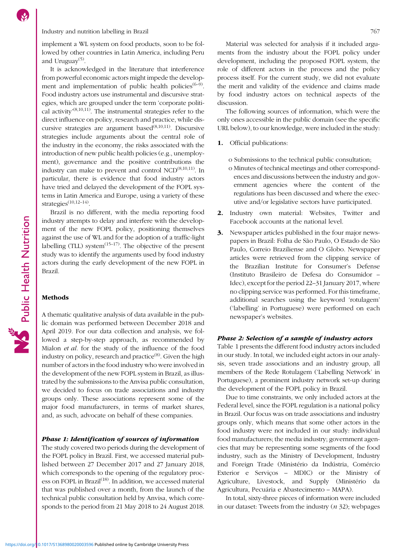implement a WL system on food products, soon to be followed by other countries in Latin America, including Peru and Uruguay $(5)$  $(5)$ .

It is acknowledged in the literature that interference from powerful economic actors might impede the development and implementation of public health policies<sup> $(6-9)$  $(6-9)$  $(6-9)$  $(6-9)$ </sup>. Food industry actors use instrumental and discursive strategies, which are grouped under the term 'corporate politi-cal activity<sup>'([8](#page-7-0),[10,11\)](#page-8-0)</sup>. The instrumental strategies refer to the direct influence on policy, research and practice, while dis-cursive strategies are argument based<sup>[\(8](#page-7-0)[,10,11\)](#page-8-0)</sup>. Discursive strategies include arguments about the central role of the industry in the economy, the risks associated with the introduction of new public health policies (e.g., unemployment), governance and the positive contributions the industry can make to prevent and control  $NCD^{(8,10,11)}$  $NCD^{(8,10,11)}$  $NCD^{(8,10,11)}$  $NCD^{(8,10,11)}$  $NCD^{(8,10,11)}$ . In particular, there is evidence that food industry actors have tried and delayed the development of the FOPL systems in Latin America and Europe, using a variety of these strategies<sup>[\(10,12](#page-8-0)–[14](#page-8-0))</sup>.

Brazil is no different, with the media reporting food industry attempts to delay and interfere with the development of the new FOPL policy, positioning themselves against the use of WL and for the adoption of a traffic-light labelling (TLL) system $(15-17)$  $(15-17)$  $(15-17)$  $(15-17)$  $(15-17)$ . The objective of the present study was to identify the arguments used by food industry actors during the early development of the new FOPL in Brazil.

#### **Methods**

A thematic qualitative analysis of data available in the public domain was performed between December 2018 and April 2019. For our data collection and analysis, we followed a step-by-step approach, as recommended by Mialon et al. for the study of the influence of the food industry on policy, research and practice $(8)$  $(8)$ . Given the high number of actors in the food industry who were involved in the development of the new FOPL system in Brazil, as illustrated by the submissions to the Anvisa public consultation, we decided to focus on trade associations and industry groups only. These associations represent some of the major food manufacturers, in terms of market shares, and, as such, advocate on behalf of these companies.

#### Phase 1: Identification of sources of information

The study covered two periods during the development of the FOPL policy in Brazil. First, we accessed material published between 27 December 2017 and 27 January 2018, which corresponds to the opening of the regulatory proc-ess on FOPL in Brazil<sup>[\(18\)](#page-8-0)</sup>. In addition, we accessed material that was published over a month, from the launch of the technical public consultation held by Anvisa, which corresponds to the period from 21 May 2018 to 24 August 2018.

Material was selected for analysis if it included arguments from the industry about the FOPL policy under development, including the proposed FOPL system, the role of different actors in the process and the policy process itself. For the current study, we did not evaluate the merit and validity of the evidence and claims made by food industry actors on technical aspects of the discussion.

The following sources of information, which were the only ones accessible in the public domain (see the specific URL below), to our knowledge, were included in the study:

1. Official publications:

o Submissions to the technical public consultation;

- o Minutes of technical meetings and other correspondences and discussions between the industry and government agencies where the content of the regulations has been discussed and where the executive and/or legislative sectors have participated.
- 2. Industry own material: Websites, Twitter and Facebook accounts at the national level.
- 3. Newspaper articles published in the four major newspapers in Brazil: Folha de São Paulo, O Estado de São Paulo, Correio Braziliense and O Globo. Newspaper articles were retrieved from the clipping service of the Brazilian Institute for Consumer's Defense (Instituto Brasileiro de Defesa do Consumidor – Idec), except for the period 22–31 January 2017, where no clipping service was performed. For this timeframe, additional searches using the keyword 'rotulagem' ('labelling' in Portuguese) were performed on each newspaper's websites.

# Phase 2: Selection of a sample of industry actors

Table [1](#page-2-0) presents the different food industry actors included in our study. In total, we included eight actors in our analysis, seven trade associations and an industry group, all members of the Rede Rotulagem ('Labelling Network' in Portuguese), a prominent industry network set-up during the development of the FOPL policy in Brazil.

Due to time constraints, we only included actors at the Federal level, since the FOPL regulation is a national policy in Brazil. Our focus was on trade associations and industry groups only, which means that some other actors in the food industry were not included in our study: individual food manufacturers; the media industry; government agencies that may be representing some segments of the food industry, such as the Ministry of Development, Industry and Foreign Trade (Ministério da Indústria, Comércio Exterior e Serviços – MDIC) or the Ministry of Agriculture, Livestock, and Supply (Ministério da Agricultura, Pecuária e Abastecimento – MAPA).

In total, sixty-three pieces of information were included in our dataset: Tweets from the industry  $(n 32)$ ; webpages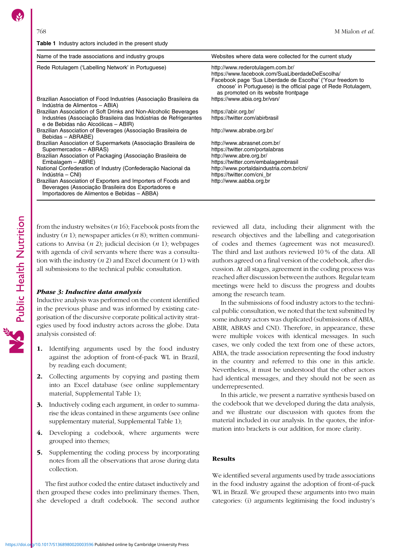<span id="page-2-0"></span>Table 1 Industry actors included in the present study

| Name of the trade associations and industry groups                                                       | Websites where data were collected for the current study                                                                                                                                                                                                    |
|----------------------------------------------------------------------------------------------------------|-------------------------------------------------------------------------------------------------------------------------------------------------------------------------------------------------------------------------------------------------------------|
| Rede Rotulagem ('Labelling Network' in Portuguese)                                                       | http://www.rederotulagem.com.br/<br>https://www.facebook.com/SuaLiberdadeDeEscolha/<br>Facebook page 'Sua Liberdade de Escolha' ('Your freedom to<br>choose' in Portuguese) is the official page of Rede Rotulagem,<br>as promoted on its website frontpage |
| Brazilian Association of Food Industries (Associação Brasileira da<br>Indústria de Alimentos - ABIA)     | https://www.abia.org.br/vsn/                                                                                                                                                                                                                                |
| Brazilian Association of Soft Drinks and Non-Alcoholic Beverages                                         | https://abir.org.br/                                                                                                                                                                                                                                        |
| Industries (Associação Brasileira das Indústrias de Refrigerantes<br>e de Bebidas não Alcoólicas - ABIR) | https://twitter.com/abirbrasil                                                                                                                                                                                                                              |
| Brazilian Association of Beverages (Associação Brasileira de<br>Bebidas - ABRABE)                        | http://www.abrabe.org.br/                                                                                                                                                                                                                                   |
| Brazilian Association of Supermarkets (Associação Brasileira de                                          | http://www.abrasnet.com.br/                                                                                                                                                                                                                                 |
| Supermercados - ABRAS)                                                                                   | https://twitter.com/portalabras                                                                                                                                                                                                                             |
| Brazilian Association of Packaging (Associação Brasileira de                                             | http://www.abre.org.br/                                                                                                                                                                                                                                     |
| Embalagem - ABRE)                                                                                        | https://twitter.com/embalagembrasil                                                                                                                                                                                                                         |
| National Confederation of Industry (Confederação Nacional da<br>$Indústria - CNI$                        | http://www.portaldaindustria.com.br/cni/<br>https://twitter.com/cni br                                                                                                                                                                                      |
| Brazilian Association of Exporters and Importers of Foods and                                            | http://www.aabba.org.br                                                                                                                                                                                                                                     |
| Beverages (Associação Brasileira dos Exportadores e<br>Importadores de Alimentos e Bebidas - ABBA)       |                                                                                                                                                                                                                                                             |

from the industry websites  $(n 16)$ ; Facebook posts from the industry  $(n 1)$ ; newspaper articles  $(n 8)$ ; written communications to Anvisa  $(n 2)$ ; judicial decision  $(n 1)$ ; webpages with agenda of civil servants where there was a consultation with the industry  $(n 2)$  and Excel document  $(n 1)$  with all submissions to the technical public consultation.

#### Phase 3: Inductive data analysis

Inductive analysis was performed on the content identified in the previous phase and was informed by existing categorisation of the discursive corporate political activity strategies used by food industry actors across the globe. Data analysis consisted of:

- 1. Identifying arguments used by the food industry against the adoption of front-of-pack WL in Brazil, by reading each document;
- 2. Collecting arguments by copying and pasting them into an Excel database (see online supplementary material, Supplemental Table [1\)](https://doi.org/10.1017/S1368980020003596);
- 3. Inductively coding each argument, in order to summarise the ideas contained in these arguments (see online supplementary material, Supplemental Table [1](https://doi.org/10.1017/S1368980020003596));
- 4. Developing a codebook, where arguments were grouped into themes;
- 5. Supplementing the coding process by incorporating notes from all the observations that arose during data collection.

The first author coded the entire dataset inductively and then grouped these codes into preliminary themes. Then, she developed a draft codebook. The second author

reviewed all data, including their alignment with the research objectives and the labelling and categorisation of codes and themes (agreement was not measured). The third and last authors reviewed 10 % of the data. All authors agreed on a final version of the codebook, after discussion. At all stages, agreement in the coding process was reached after discussion between the authors. Regular team meetings were held to discuss the progress and doubts among the research team.

In the submissions of food industry actors to the technical public consultation, we noted that the text submitted by some industry actors was duplicated (submissions of ABIA, ABIR, ABRAS and CNI). Therefore, in appearance, these were multiple voices with identical messages. In such cases, we only coded the text from one of these actors, ABIA, the trade association representing the food industry in the country and referred to this one in this article. Nevertheless, it must be understood that the other actors had identical messages, and they should not be seen as underrepresented.

In this article, we present a narrative synthesis based on the codebook that we developed during the data analysis, and we illustrate our discussion with quotes from the material included in our analysis. In the quotes, the information into brackets is our addition, for more clarity.

### Results

We identified several arguments used by trade associations in the food industry against the adoption of front-of-pack WL in Brazil. We grouped these arguments into two main categories: (i) arguments legitimising the food industry's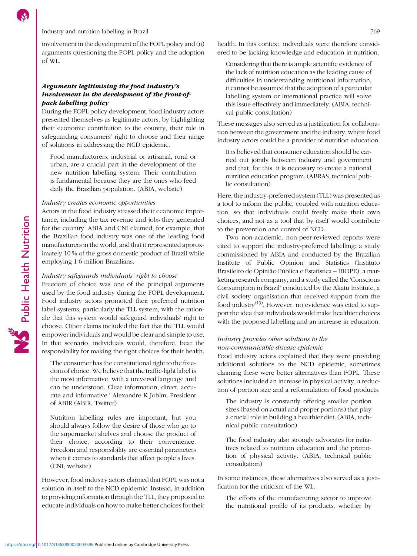# Industry and nutrition labelling in Brazil 769

involvement in the development of the FOPL policy and (ii) arguments questioning the FOPL policy and the adoption of WL.

# Arguments legitimising the food industry's involvement in the development of the front-ofpack labelling policy

During the FOPL policy development, food industry actors presented themselves as legitimate actors, by highlighting their economic contribution to the country, their role in safeguarding consumers' right to choose and their range of solutions in addressing the NCD epidemic.

Food manufacturers, industrial or artisanal, rural or urban, are a crucial part in the development of the new nutrition labelling system. Their contribution is fundamental because they are the ones who feed daily the Brazilian population. (ABIA, website)

#### Industry creates economic opportunities

Actors in the food industry stressed their economic importance, including the tax revenue and jobs they generated for the country. ABIA and CNI claimed, for example, that the Brazilian food industry was one of the leading food manufacturers in the world, and that it represented approximately 10 % of the gross domestic product of Brazil while employing 1·6 million Brazilians.

### Industry safeguards individuals' right to choose

Freedom of choice was one of the principal arguments used by the food industry during the FOPL development. Food industry actors promoted their preferred nutrition label systems, particularly the TLL system, with the rationale that this system would safeguard individuals' right to choose. Other claims included the fact that the TLL would empower individuals and would be clear and simple to use. In that scenario, individuals would, therefore, bear the responsibility for making the right choices for their health.

'The consumer has the constitutional right to the freedom of choice. We believe that the traffic-light label is the most informative, with a universal language and can be understood. Clear information, direct, accurate and informative.' Alexandre K Jobim, President of ABIR (ABIR, Twitter)

Nutrition labelling rules are important, but you should always follow the desire of those who go to the supermarket shelves and choose the product of their choice, according to their convenience. Freedom and responsibility are essential parameters when it comes to standards that affect people's lives. (CNI, website)

However, food industry actors claimed that FOPL was not a solution in itself to the NCD epidemic. Instead, in addition to providing information through the TLL, they proposed to educate individuals on how to make better choices for their health. In this context, individuals were therefore considered to be lacking knowledge and education in nutrition.

Considering that there is ample scientific evidence of the lack of nutrition education as the leading cause of difficulties in understanding nutritional information, it cannot be assumed that the adoption of a particular labelling system or international practice will solve this issue effectively and immediately. (ABIA, technical public consultation)

These messages also served as a justification for collaboration between the government and the industry, where food industry actors could be a provider of nutrition education.

It is believed that consumer education should be carried out jointly between industry and government and that, for this, it is necessary to create a national nutrition education program. (ABRAS, technical public consultation)

Here, the industry-preferred system (TLL) was presented as a tool to inform the public, coupled with nutrition education, so that individuals could freely make their own choices, and not as a tool that by itself would contribute to the prevention and control of NCD.

Two non-academic, non-peer-reviewed reports were cited to support the industry-preferred labelling: a study commissioned by ABIA and conducted by the Brazilian Institute of Public Opinion and Statistics (Instituto Brasileiro de Opinião Pública e Estatística – IBOPE), a marketing research company, and a study called the 'Conscious Consumption in Brazil' conducted by the Akatu Institute, a civil society organisation that received support from the food industry $(19)$  $(19)$ . However, no evidence was cited to support the idea that individuals would make healthier choices with the proposed labelling and an increase in education.

# Industry provides other solutions to the non-communicable disease epidemic

Food industry actors explained that they were providing additional solutions to the NCD epidemic, sometimes claiming these were better alternatives than FOPL. These solutions included an increase in physical activity, a reduction of portion size and a reformulation of food products.

The industry is constantly offering smaller portion sizes (based on actual and proper portions) that play a crucial role in building a healthier diet. (ABIA, technical public consultation)

The food industry also strongly advocates for initiatives related to nutrition education and the promotion of physical activity. (ABIA, technical public consultation)

In some instances, these alternatives also served as a justification for the criticism of the WL.

The efforts of the manufacturing sector to improve the nutritional profile of its products, whether by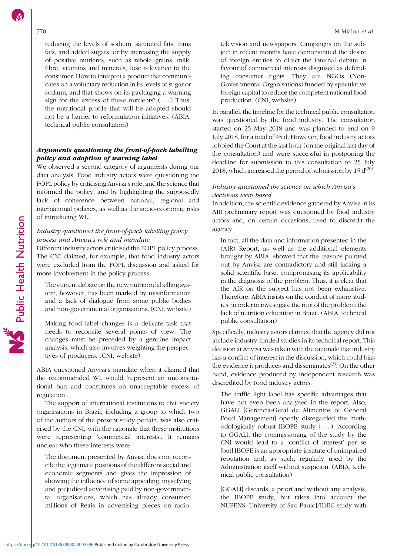reducing the levels of sodium, saturated fats, trans fats, and added sugars, or by increasing the supply of positive nutrients, such as whole grains, milk, fibre, vitamins and minerals, lose relevance to the consumer. How to interpret a product that communicates on a voluntary reduction in its levels of sugar or sodium, and that shows on its packaging a warning sign for the excess of these nutrients?  $(...)$  Thus, the nutritional profile that will be adopted should not be a barrier to reformulation initiatives. (ABIA, technical public consultation)

# Arguments questioning the front-of-pack labelling policy and adoption of warning label

We observed a second category of arguments during our data analysis. Food industry actors were questioning the FOPL policy by criticising Anvisa's role, and the science that informed the policy, and by highlighting the supposedly lack of coherence between national, regional and international policies, as well as the socio-economic risks of introducing WL.

# Industry questioned the front-of-pack labelling policy process and Anvisa's role and mandate

Different industry actors criticised the FOPL policy process. The CNI claimed, for example, that food industry actors were excluded from the FOPL discussion and asked for more involvement in the policy process.

The current debate on the new nutrition labelling system, however, has been marked by misinformation and a lack of dialogue from some public bodies and non-governmental organisations. (CNI, website)

Making food label changes is a delicate task that needs to reconcile several points of view. The changes must be preceded by a genuine impact analysis, which also involves weighting the perspectives of producers. (CNI, website)

ABIA questioned Anvisa's mandate when it claimed that the recommended WL would 'represent an unconstitutional ban and constitutes an unacceptable excess of regulation'.

The support of international institutions to civil society organisations in Brazil, including a group to which two of the authors of the present study pertain, was also criticised by the CNI, with the rationale that these institutions were representing 'commercial interests'. It remains unclear who these interests were.

The document presented by Anvisa does not reconcile the legitimate positions of the different social and economic segments and gives the impression of showing the influence of some appealing, mystifying and prejudiced advertising paid by non-governmental organisations, which has already consumed millions of Reais in advertising pieces on radio,

television and newspapers. Campaigns on the subject in recent months have demonstrated the desire of foreign entities to direct the internal debate in favour of commercial interests disguised as defending consumer rights. They are NGOs (Non-Governmental Organisations) funded by speculative foreign capital to reduce the competent national food production. (CNI, website)

In parallel, the timeline for the technical public consultation was questioned by the food industry. The consultation started on 25 May 2018 and was planned to end on 9 July 2018, for a total of 45 d. However, food industry actors lobbied the Court at the last hour (on the original last day of the consultation) and were successful in postponing the deadline for submission to this consultation to 25 July 2018, which increased the period of submission by 15  $d^{(20)}$  $d^{(20)}$  $d^{(20)}$ .

# Industry questioned the science on which Anvisa's decisions were based

In addition, the scientific evidence gathered by Anvisa in its AIR preliminary report was questioned by food industry actors and, on certain occasions, used to discredit the agency.

In fact, all the data and information presented in the (AIR) Report, as well as the additional elements brought by ABIA, showed that the reasons pointed out by Anvisa are contradictory and still lacking a solid scientific base, compromising its applicability in the diagnosis of the problem. Thus, it is clear that the AIR on the subject has not been exhaustive. Therefore, ABIA insists on the conduct of more studies, in order to investigate the root of the problem: the lack of nutrition education in Brazil. (ABIA, technical public consultation)

Specifically, industry actors claimed that the agency did not include industry-funded studies in its technical report. This decision at Anvisa was taken with the rationale that industry has a conflict of interest in the discussion, which could bias the evidence it produces and disseminates<sup>[\(3\)](#page-7-0)</sup>. On the other hand, evidence produced by independent research was discredited by food industry actors.

The traffic light label has specific advantages that have not even been analysed in the report. Also, GGALI [Gerência-Geral de Alimentos or General Food Management] openly disregarded the methodologically robust IBOPE study (...). According to GGALI, the commissioning of the study by the CNI would lead to a 'conflict of interest' per se [but] IBOPE is an appropriate institute of unimpaired reputation and, as such, regularly used by the Administration itself without suspicion. (ABIA, technical public consultation)

[GGALI] discards, a priori and without any analysis, the IBOPE study, but takes into account the NUPENS [University of Sao Paulo]/IDEC study with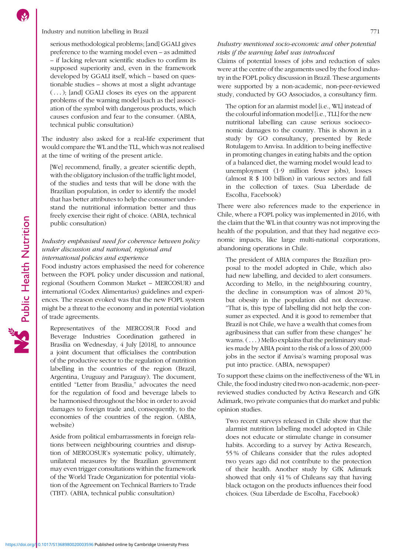serious methodological problems; [and] GGALI gives preference to the warning model even – as admitted – if lacking relevant scientific studies to confirm its supposed superiority and, even in the framework developed by GGALI itself, which – based on questionable studies – shows at most a slight advantage  $( \ldots )$ ; [and] CGALI closes its eyes on the apparent problems of the warning model [such as the] association of the symbol with dangerous products, which causes confusion and fear to the consumer. (ABIA, technical public consultation)

The industry also asked for a real-life experiment that would compare the WL and the TLL, which was not realised at the time of writing of the present article.

[We] recommend, finally, a greater scientific depth, with the obligatory inclusion of the traffic light model, of the studies and tests that will be done with the Brazilian population, in order to identify the model that has better attributes to help the consumer understand the nutritional information better and thus freely exercise their right of choice. (ABIA, technical public consultation)

# Industry emphasised need for coherence between policy under discussion and national, regional and international policies and experience

Food industry actors emphasised the need for coherence between the FOPL policy under discussion and national, regional (Southern Common Market – MERCOSUR) and international (Codex Alimentarius) guidelines and experiences. The reason evoked was that the new FOPL system might be a threat to the economy and in potential violation of trade agreements.

Representatives of the MERCOSUR Food and Beverage Industries Coordination gathered in Brasília on Wednesday, 4 July [2018], to announce a joint document that officialises the contribution of the productive sector to the regulation of nutrition labelling in the countries of the region (Brazil, Argentina, Uruguay and Paraguay). The document, entitled "Letter from Brasília," advocates the need for the regulation of food and beverage labels to be harmonised throughout the bloc in order to avoid damages to foreign trade and, consequently, to the economies of the countries of the region. (ABIA, website)

Aside from political embarrassments in foreign relations between neighbouring countries and disruption of MERCOSUR's systematic policy, ultimately, unilateral measures by the Brazilian government may even trigger consultations within the framework of the World Trade Organization for potential violation of the Agreement on Technical Barriers to Trade (TBT). (ABIA, technical public consultation)

# Industry mentioned socio-economic and other potential risks if the warning label was introduced

Claims of potential losses of jobs and reduction of sales were at the centre of the arguments used by the food industry in the FOPL policy discussion in Brazil. These arguments were supported by a non-academic, non-peer-reviewed study, conducted by GO Associados, a consultancy firm.

The option for an alarmist model [i.e., WL] instead of the colourful information model [i.e., TLL] for the new nutritional labelling can cause serious socioeconomic damages to the country. This is shown in a study by GO consultancy, presented by Rede Rotulagem to Anvisa. In addition to being ineffective in promoting changes in eating habits and the option of a balanced diet, the warning model would lead to unemployment (1·9 million fewer jobs), losses (almost R \$ 100 billion) in various sectors and fall in the collection of taxes. (Sua Liberdade de Escolha, Facebook)

There were also references made to the experience in Chile, where a FOPL policy was implemented in 2016, with the claim that the WL in that country was not improving the health of the population, and that they had negative economic impacts, like large multi-national corporations, abandoning operations in Chile.

The president of ABIA compares the Brazilian proposal to the model adopted in Chile, which also had new labelling, and decided to alert consumers. According to Mello, in the neighbouring country, the decline in consumption was of almost 20 %, but obesity in the population did not decrease. "That is, this type of labelling did not help the consumer as expected. And it is good to remember that Brazil is not Chile, we have a wealth that comes from agribusiness that can suffer from these changes" he warns.  $(\ldots)$  Mello explains that the preliminary studies made by ABIA point to the risk of a loss of 200,000 jobs in the sector if Anvisa's warning proposal was put into practice. (ABIA, newspaper)

To support these claims on the ineffectiveness of the WL in Chile, the food industry cited two non-academic, non-peerreviewed studies conducted by Activa Research and GfK Adimark, two private companies that do market and public opinion studies.

Two recent surveys released in Chile show that the alarmist nutrition labelling model adopted in Chile does not educate or stimulate change in consumer habits. According to a survey by Activa Research, 55 % of Chileans consider that the rules adopted two years ago did not contribute to the protection of their health. Another study by GfK Adimark showed that only 41 % of Chileans say that having black octagon on the products influences their food choices. (Sua Liberdade de Escolha, Facebook)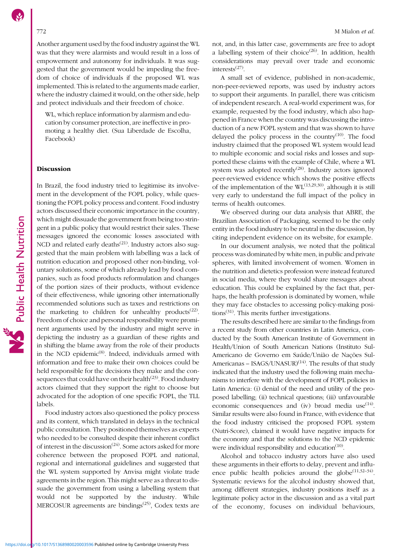Another argument used by the food industry against the WL was that they were alarmists and would result in a loss of empowerment and autonomy for individuals. It was suggested that the government would be impeding the freedom of choice of individuals if the proposed WL was implemented. This is related to the arguments made earlier, where the industry claimed it would, on the other side, help and protect individuals and their freedom of choice.

WL, which replace information by alarmism and education by consumer protection, are ineffective in promoting a healthy diet. (Sua Liberdade de Escolha, Facebook)

# Discussion

In Brazil, the food industry tried to legitimise its involvement in the development of the FOPL policy, while questioning the FOPL policy process and content. Food industry actors discussed their economic importance in the country, which might dissuade the government from being too stringent in a public policy that would restrict their sales. These messages ignored the economic losses associated with NCD and related early deaths<sup>[\(21\)](#page-8-0)</sup>. Industry actors also suggested that the main problem with labelling was a lack of nutrition education and proposed other non-binding, voluntary solutions, some of which already lead by food companies, such as food products reformulation and changes of the portion sizes of their products, without evidence of their effectiveness, while ignoring other internationally recommended solutions such as taxes and restrictions on the marketing to children for unhealthy products<sup> $(22)$  $(22)$ </sup>. Freedom of choice and personal responsibility were prominent arguments used by the industry and might serve in depicting the industry as a guardian of these rights and in shifting the blame away from the role of their products in the NCD epidemic $<sup>(8)</sup>$  $<sup>(8)</sup>$  $<sup>(8)</sup>$ . Indeed, individuals armed with</sup> information and free to make their own choices could be held responsible for the decisions they make and the consequences that could have on their health<sup> $(23)$ </sup>. Food industry actors claimed that they support the right to choose but advocated for the adoption of one specific FOPL, the TLL labels.

Food industry actors also questioned the policy process and its content, which translated in delays in the technical public consultation. They positioned themselves as experts who needed to be consulted despite their inherent conflict of interest in the discussion<sup>([24](#page-8-0))</sup>. Some actors asked for more coherence between the proposed FOPL and national, regional and international guidelines and suggested that the WL system supported by Anvisa might violate trade agreements in the region. This might serve as a threat to dissuade the government from using a labelling system that would not be supported by the industry. While MERCOSUR agreements are bindings<sup> $(25)$ </sup>, Codex texts are

not, and, in this latter case, governments are free to adopt a labelling system of their choice<sup> $(26)$ </sup>. In addition, health considerations may prevail over trade and economic interests $^{(27)}$  $^{(27)}$  $^{(27)}$ .

A small set of evidence, published in non-academic, non-peer-reviewed reports, was used by industry actors to support their arguments. In parallel, there was criticism of independent research. A real-world experiment was, for example, requested by the food industry, which also happened in France when the country was discussing the introduction of a new FOPL system and that was shown to have delayed the policy process in the country<sup>([10](#page-8-0))</sup>. The food industry claimed that the proposed WL system would lead to multiple economic and social risks and losses and supported these claims with the example of Chile, where a WL system was adopted recently<sup> $(28)$ </sup>. Industry actors ignored peer-reviewed evidence which shows the positive effects of the implementation of the  $\text{WL}^{(13,29,30)}$  $\text{WL}^{(13,29,30)}$  $\text{WL}^{(13,29,30)}$ , although it is still very early to understand the full impact of the policy in terms of health outcomes.

We observed during our data analysis that ABRE, the Brazilian Association of Packaging, seemed to be the only entity in the food industry to be neutral in the discussion, by citing independent evidence on its website, for example.

In our document analysis, we noted that the political process was dominated by white men, in public and private spheres, with limited involvement of women. Women in the nutrition and dietetics profession were instead featured in social media, where they would share messages about education. This could be explained by the fact that, perhaps, the health profession is dominated by women, while they may face obstacles to accessing policy-making positions<sup> $(31)$  $(31)$  $(31)$ </sup>. This merits further investigations.

The results described here are similar to the findings from a recent study from other countries in Latin America, conducted by the South American Institute of Government in Health/Union of South American Nations (Instituto Sul-Americano de Governo em Saúde/União de Nações Sul-Americanas – ISAGS/UNASUR) $(14)$  $(14)$ . The results of that study indicated that the industry used the following main mechanisms to interfere with the development of FOPL policies in Latin America: (i) denial of the need and utility of the proposed labelling; (ii) technical questions; (iii) unfavourable economic consequences and (iv) broad media use $(14)$ . Similar results were also found in France, with evidence that the food industry criticised the proposed FOPL system (Nutri-Score), claimed it would have negative impacts for the economy and that the solutions to the NCD epidemic were individual responsibility and education<sup>[\(10\)](#page-8-0)</sup>.

Alcohol and tobacco industry actors have also used these arguments in their efforts to delay, prevent and influence public health policies around the globe $(11,32-34)$  $(11,32-34)$  $(11,32-34)$  $(11,32-34)$ . Systematic reviews for the alcohol industry showed that, among different strategies, industry positions itself as a legitimate policy actor in the discussion and as a vital part of the economy, focuses on individual behaviours,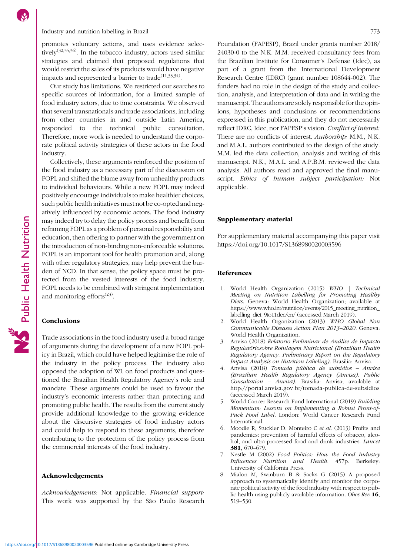# <span id="page-7-0"></span>Industry and nutrition labelling in Brazil 773

promotes voluntary actions, and uses evidence selectively<sup> $(32,35,36)$  $(32,35,36)$  $(32,35,36)$  $(32,35,36)$ </sup>. In the tobacco industry, actors used similar strategies and claimed that proposed regulations that would restrict the sales of its products would have negative impacts and represented a barrier to trade<sup> $(11,33,34)$  $(11,33,34)$  $(11,33,34)$ </sup>.

Our study has limitations. We restricted our searches to specific sources of information, for a limited sample of food industry actors, due to time constraints. We observed that several transnationals and trade associations, including from other countries in and outside Latin America, responded to the technical public consultation. Therefore, more work is needed to understand the corporate political activity strategies of these actors in the food industry.

Collectively, these arguments reinforced the position of the food industry as a necessary part of the discussion on FOPL and shifted the blame away from unhealthy products to individual behaviours. While a new FOPL may indeed positively encourage individuals to make healthier choices, such public health initiatives must not be co-opted and negatively influenced by economic actors. The food industry may indeed try to delay the policy process and benefit from reframing FOPL as a problem of personal responsibility and education, then offering to partner with the government on the introduction of non-binding non-enforceable solutions. FOPL is an important tool for health promotion and, along with other regulatory strategies, may help prevent the burden of NCD. In that sense, the policy space must be protected from the vested interests of the food industry. FOPL needs to be combined with stringent implementation and monitoring efforts $(23)$ .

# Conclusions

Public Health Nutrition

Trade associations in the food industry used a broad range of arguments during the development of a new FOPL policy in Brazil, which could have helped legitimise the role of the industry in the policy process. The industry also opposed the adoption of WL on food products and questioned the Brazilian Health Regulatory Agency's role and mandate. These arguments could be used to favour the industry's economic interests rather than protecting and promoting public health. The results from the current study provide additional knowledge to the growing evidence about the discursive strategies of food industry actors and could help to respond to these arguments, therefore contributing to the protection of the policy process from the commercial interests of the food industry.

### Acknowledgements

Acknowledgements: Not applicable. Financial support: This work was supported by the São Paulo Research Foundation (FAPESP), Brazil under grants number 2018/ 24030-0 to the N.K. M.M. received consultancy fees from the Brazilian Institute for Consumer's Defense (Idec), as part of a grant from the International Development Research Centre (IDRC) (grant number 108644-002). The funders had no role in the design of the study and collection, analysis, and interpretation of data and in writing the manuscript. The authors are solely responsible for the opinions, hypotheses and conclusions or recommendations expressed in this publication, and they do not necessarily reflect IDRC, Idec, nor FAPESP's vision. Conflict of interest: There are no conflicts of interest. Authorship: M.M., N.K. and M.A.L. authors contributed to the design of the study. M.M. led the data collection, analysis and writing of this manuscript. N.K., M.A.L. and A.P.B.M. reviewed the data analysis. All authors read and approved the final manuscript. Ethics of human subject participation: Not applicable.

### Supplementary material

For supplementary material accompanying this paper visit <https://doi.org/10.1017/S1368980020003596>

# References

- 1. World Health Organization (2015) WHO | Technical Meeting on Nutrition Labelling for Promoting Healthy Diets. Geneva: World Health Organization; available at [https://www.who.int/nutrition/events/2015\\_meeting\\_nutrition\\_](https://https://www.who.int/nutrition/events/2015_meeting_nutrition_labelling_diet_9to11dec/en/) [labelling\\_diet\\_9to11dec/en/](https://https://www.who.int/nutrition/events/2015_meeting_nutrition_labelling_diet_9to11dec/en/) (accessed March 2019).
- 2. World Health Organization (2013) WHO Global Non Communicable Diseases Action Plan 2013–2020. Geneva: World Health Organization.
- 3. Anvisa (2018) Relatorio Preliminar de Análise de Impacto Regulatóriosobre Rotulagem Nutricional (Brazilian Health Regulatory Agency. Preliminary Report on the Regulatory Impact Analysis on Nutrition Labeling). Brasilia: Anvisa.
- 4. Anvisa (2018) Tomada pública de subsídios Anvisa (Brazilian Health Regulatory Agency (Anvisa). Public Consultation – Anvisa). Brasilia: Anvisa; available at <http://portal.anvisa.gov.br/tomada-publica-de-subsidios> (accessed March 2019).
- 5. World Cancer Research Fund International (2019) Building Momentum: Lessons on Implementing a Robust Front-of-Pack Food Label. London: World Cancer Research Fund International.
- 6. Moodie R, Stuckler D, Monteiro C et al. (2013) Profits and pandemics: prevention of harmful effects of tobacco, alcohol, and ultra-processed food and drink industries. Lancet 381, 670–679.
- 7. Nestle M (2002) Food Politics: How the Food Industry Influences Nutrition and Health, 457p. Berkeley: University of California Press.
- 8. Mialon M, Swinburn B & Sacks G (2015) A proposed approach to systematically identify and monitor the corporate political activity of the food industry with respect to public health using publicly available information. Obes Rev 16, 519–530.